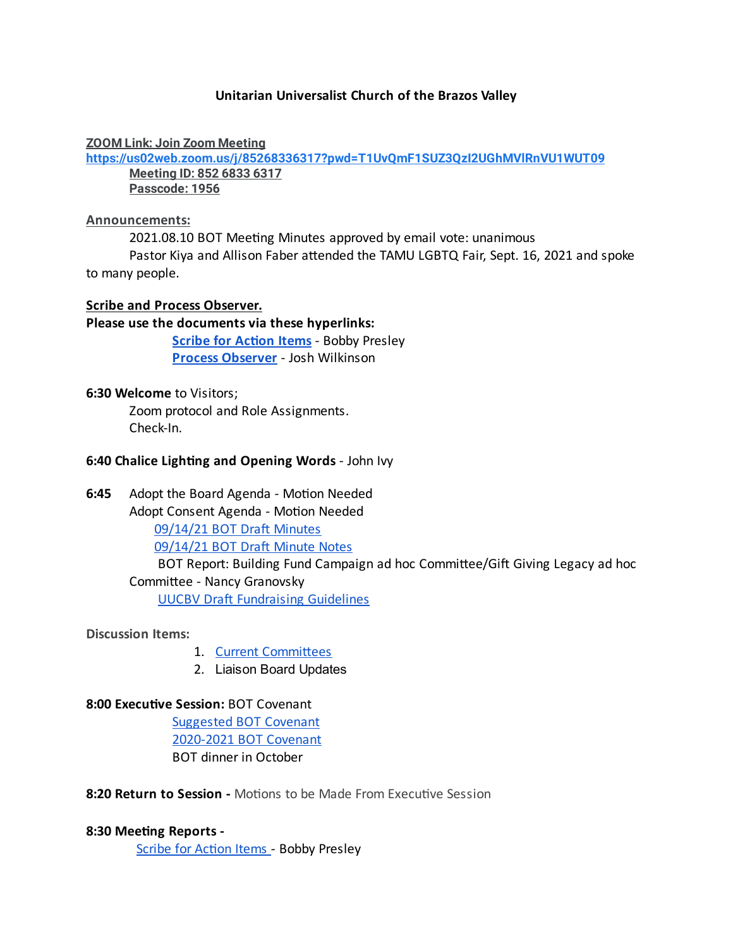# **Unitarian Universalist Church of the Brazos Valley**

#### **ZOOM Link: Join Zoom Meeting**

**<https://us02web.zoom.us/j/85268336317?pwd=T1UvQmF1SUZ3QzI2UGhMVlRnVU1WUT09>**

**Meeting ID: 852 6833 6317 Passcode: 1956**

#### **Announcements:**

2021.08.10 BOT Meeting Minutes approved by email vote: unanimous

Pastor Kiya and Allison Faber attended the TAMU LGBTQ Fair, Sept. 16, 2021 and spoke to many people.

## **Scribe and Process Observer.**

## **Please use the documents via these hyperlinks:**

**Scribe for Action Items** - Bobby Presley **Process [Observer](https://docs.google.com/document/d/1bUz-8HCjYoVtuZU4b-3_bLFp1tlb27s0qbVPHBXMOzU/edit)** - Josh Wilkinson

## **6:30 Welcome** to Visitors;

Zoom protocol and Role Assignments. Check-In.

## **6:40 Chalice Lighting and Opening Words** - John Ivy

6:45 Adopt the Board Agenda - Motion Needed

Adopt Consent Agenda - Motion Needed

[09/14/21](https://docs.google.com/document/d/1fCvZ3C3GEop4P66e7VFyEgvgCvUtq5Il/edit) BOT Draft Minutes

[09/14/21](https://docs.google.com/document/d/1vt0H4K0BlfR5-WuofXtokVryp3m7Y0sk/edit) BOT Draft Minute Notes

BOT Report: Building Fund Campaign ad hoc Committee/Gift Giving Legacy ad hoc Committee - Nancy Granovsky

**UUCBV Draft [Fundraising](https://docs.google.com/document/d/1kejt_UnqM1OljFXVHAAp97sdN_R5F7zS/edit) Guidelines** 

**Discussion Items:**

- 1. Current Committees
- 2. Liaison Board Updates

# **8:00 Executive Session: BOT Covenant**

[Suggested](https://docs.google.com/document/d/16lgaf8wEuGcx9fgsGVtc_cNKJ_Hm3CTVlL19TNlG3bE/edit) BOT Covenant [2020-2021](https://docs.google.com/document/d/1d8vZ_5g5lw-Gjkf42rtLOMOaAQaJYGwSHGtOLuT9nLM/edit) BOT Covenant BOT dinner in October

**8:20 Return to Session -** Motions to be Made From Executive Session

# **8:30 Meeng Reports -**

Scribe for Action Items - Bobby Presley